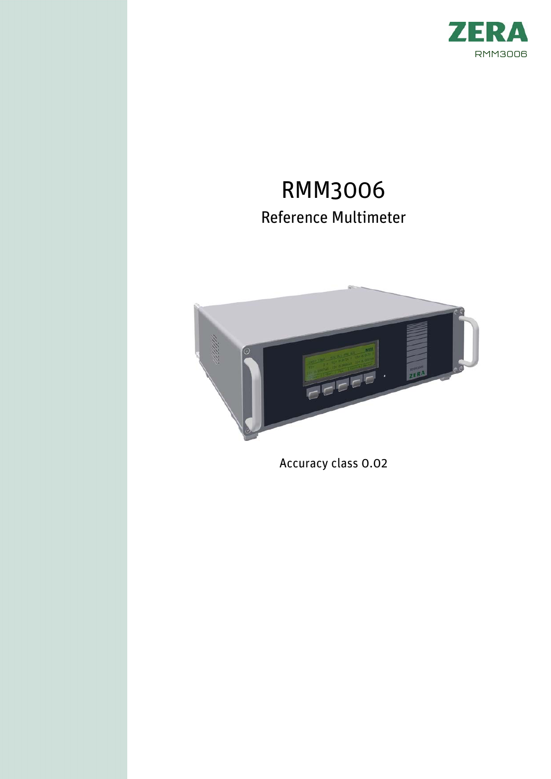

# RMM3006 Reference Multimeter



Accuracy class 0.02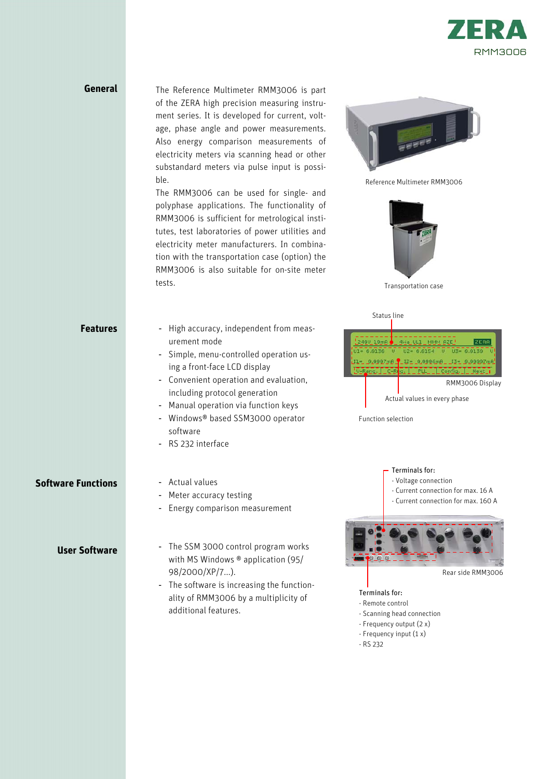

### **General**

The Reference Multimeter RMM3006 is part of the ZERA high precision measuring instrument series. It is developed for current, voltage, phase angle and power measurements. Also energy comparison measurements of electricity meters via scanning head or other substandard meters via pulse input is possible.

The RMM3006 can be used for single- and polyphase applications. The functionality of RMM3006 is sufficient for metrological institutes, test laboratories of power utilities and electricity meter manufacturers. In combination with the transportation case (option) the RMM3006 is also suitable for on-site meter tests.



Reference Multimeter RMM3006



Transportation case

Status line

| <b>Features</b>           | High accuracy, independent from meas-<br>$\blacksquare$<br>urement mode<br>- Simple, menu-controlled operation us-<br>ing a front-face LCD display<br>Convenient operation and evaluation,<br>$\overline{\phantom{a}}$<br>including protocol generation<br>Manual operation via function keys<br>$\overline{\phantom{a}}$<br>Windows® based SSM3000 operator<br>$\blacksquare$<br>software<br>RS 232 interface<br>$\blacksquare$ | $2480110mB$ $-4448011$ MMM $BZE$<br>ZERA<br>103 - 70130 - 0<br>$U2 = 6.0154$<br>$11 = 8.0907 \text{mA}$ $12 = 8.0006 \text{mA}$ $13 = 0.00007 \text{mA}$<br>V-Rangy MC-Rright M. PLETIN MConfight<br>Next<br>RMM3006 Display<br>Actual values in every phase<br>Function selection |
|---------------------------|----------------------------------------------------------------------------------------------------------------------------------------------------------------------------------------------------------------------------------------------------------------------------------------------------------------------------------------------------------------------------------------------------------------------------------|------------------------------------------------------------------------------------------------------------------------------------------------------------------------------------------------------------------------------------------------------------------------------------|
| <b>Software Functions</b> | Actual values<br>$\overline{\phantom{a}}$<br>Meter accuracy testing<br>٠<br>Energy comparison measurement<br>$\overline{\phantom{a}}$                                                                                                                                                                                                                                                                                            | Terminals for:<br>- Voltage connection<br>- Current connection for max. 16 A<br>- Current connection for max. 160 A                                                                                                                                                                |
| <b>User Software</b>      | The SSM 3000 control program works<br>$\qquad \qquad \blacksquare$<br>with MS Windows $\textcircled{a}$ application (95/<br>98/2000/XP/7).<br>The software is increasing the function-<br>$\overline{\phantom{a}}$<br>ality of RMM3006 by a multiplicity of<br>additional features.                                                                                                                                              | 000<br>Rear side RMM3006<br>Terminals for:<br>- Remote control<br>- Scanning head connection<br>- Frequency output (2 x)<br>- Frequency input $(1 x)$                                                                                                                              |

- RS 232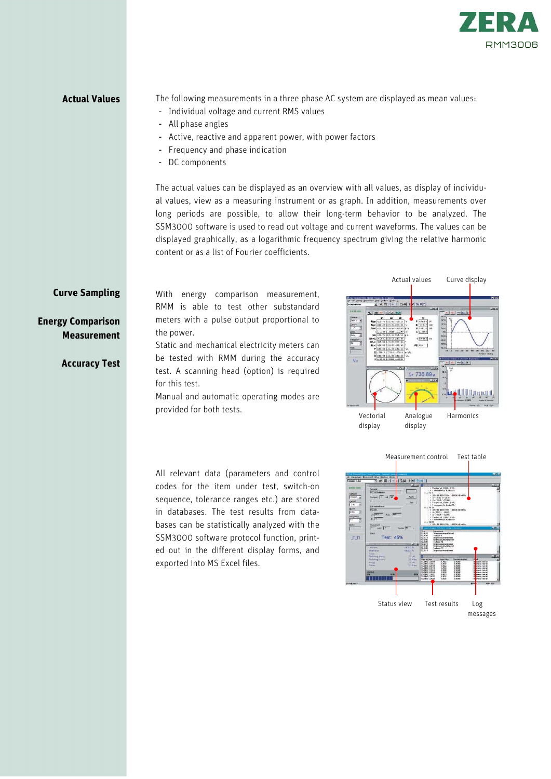

**Actual Values** The following measurements in a three phase AC system are displayed as mean values:

- Individual voltage and current RMS values
- All phase angles
- Active, reactive and apparent power, with power factors
- Frequency and phase indication
- DC components

The actual values can be displayed as an overview with all values, as display of individual values, view as a measuring instrument or as graph. In addition, measurements over long periods are possible, to allow their long-term behavior to be analyzed. The SSM3000 software is used to read out voltage and current waveforms. The values can be displayed graphically, as a logarithmic frequency spectrum giving the relative harmonic content or as a list of Fourier coefficients.

### **Curve Sampling**

**Energy Comparison Measurement** 

**Accuracy Test**

With energy comparison measurement, RMM is able to test other substandard meters with a pulse output proportional to the power.

Static and mechanical electricity meters can be tested with RMM during the accuracy test. A scanning head (option) is required for this test.

Manual and automatic operating modes are provided for both tests.



All relevant data (parameters and control codes for the item under test, switch-on sequence, tolerance ranges etc.) are stored in databases. The test results from databases can be statistically analyzed with the SSM3000 software protocol function, printed out in the different display forms, and exported into MS Excel files.